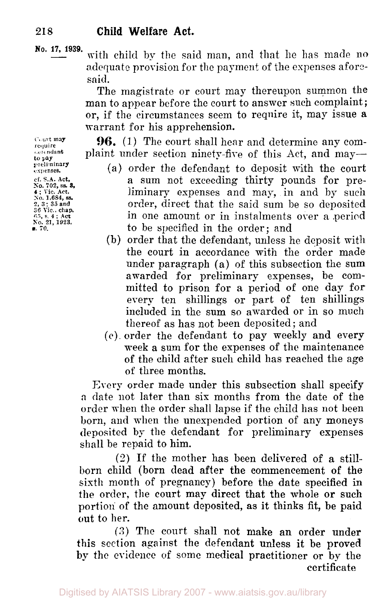**No. 17, 1939.** with child by the said man, and that he has made no adequate provision for the payment of the expenses aforesaid.

The magistrate or court may thereupon summon the man to appear before the court to answer such complaint; or, if the circumstances seem to require it, may issue a warrant for his apprehension.

**96.** (1) The court shall hear and determine any complaint under section ninety-five of this Act, and may-

- (a) order the defendant to deposit with the court a sum not exceeding thirty pounds for preliminary expenses and may, in and by such order, direct that the said sum be so deposited in one amount or in instalments over a .period to be specified in the order; and
- (b) order that the defendant, unless he deposit with the court in accordance with the order made under paragraph (a) of this subsection the sum awarded for preliminary expenses, be committed to prison for **a** period of one day for every ten shillings or part of ten shillings included in the sum so awarded or in so much thereof as has not been deposited ; and
- *(e)* order the defendant to pay meekly and every week a sum for the expenses of the maintenance of the child after such child has reached the age of three months.

Every order made under this subsection shall specify **a** date not later than six months from the date of the order when the order shall lapse if the child has not been born, and when the unexpended portion of any moneys deposited by the defendant for preliminary expenses shall be repaid to him.

*(2)* If the mother has been delivered of a stillborn child (born dead after the commencement of the sixth month of pregnancy) before the date specified in the order, the court may direct that the whole or such portion of the amount deposited, as it thinks fit, be paid out to her.

*(3)* The court shall not make an order under this section against the defendant unless it be proved by the evidence of some medical practitioner **or** by the certificate

**Court may require**  defendant **to Pay preliminary expenses. cf. S.A. Act,**  *No. 702,* **ss, s. 4** ; **Vic. Act,**  *So.* **1,684,** *ss.*  **2, 3** : **35 and** *36* Vic., **chap.**  *65,* **c. 4** ; **Act**  *So.* **21, 1923, s.** *70.*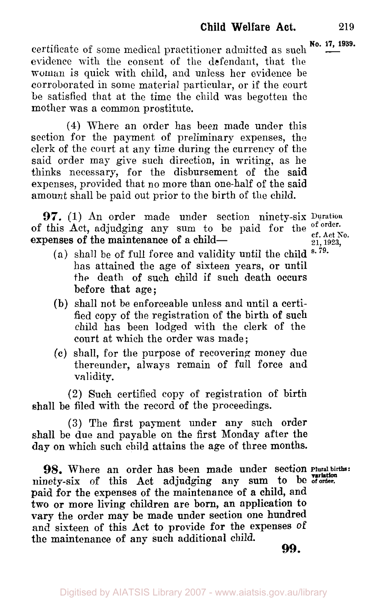**certificate of some medical practitioner admitted as such**  $\frac{N_0}{N_1}$ **. 17, 1939.** evidence with the consent of the defendant, that the woman is quick with child, and unless her evidence be corroborated in some material particular, or if the court be satisfied that at the time the child was begotten the mother was a common prostitute.

**(4)** Where an order has been made under this section for the payment of preliminary expenses, the clerk of the court at any time during the currency of the said order may give such direction, in writing, as he thinks necessary, for the disbursement of the said expenses, provided that no more than one-half of the said amount shall be paid out prior to the birth of the child.

**97.** (1) An order made under section ninety-six **Duration**  of this Act, adjudging any sum to be paid for the <sup>of order</sup>. expenses of the maintenance of a child-

21, 1923,

- **(a)** shall be of full force and validity until the child s. 79. has attained the age of sixteen years, or until the death of such child if such death occurs before that age;
- (b) shall not be enforceable unless and until a certified copy of the registration of the birth of such child has been lodged with the clerk of the court at which the order was made ;
- (c) shall, for the purpose of recovering money due thereunder, always remain of full force and validity.

(2) Such certified copy of registration of birth shall be filed with the record of the proceedings.

**(3)** The first payment under any such order shall be due and payable on the first Monday after the day on which such child attains the age of three months.

98. Where an order has been made under section Plural births: ninety-six **of** this Act adjudging any sum to **be of order.**  paid for the expenses of the maintenance of *a* child, and two or more living children are born, an application to **vary** the order may be made under section one hundred and sixteen of this Act **to** provide for **the** expenses of the maintenance of any such additional child.

**99.**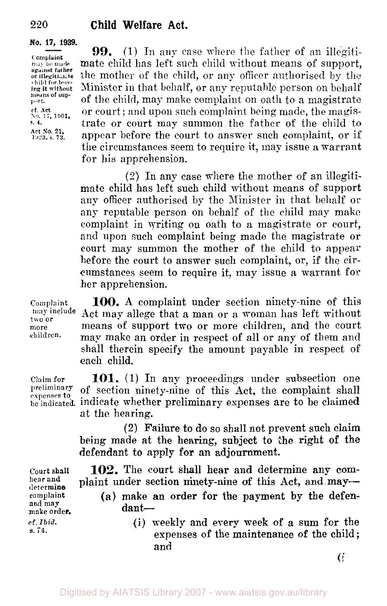#### **No. 17, 1939.**

**against** *father*  child **for leav**means **of sup-Act** *So* 21.

**99.** (1) In any case where the father of an illegiti-Complaint<br>may be made **mate** child has left such child without means of support. **illegitimate** the mother of the child, or any officer authorised by the whild for leav. Minister in that behalf, or any reputable person on behalf **port.** of the child, may make complaint on oath to a magistrate No. **cf. Act 17. 1901,** or court ; and upon such complaint being made, the magis trate or court may summon the father of the child to appear before the court to answer such complaint, or if the circumstances seem to require it, may issue a warrant for his apprehension.

> (2) In any case where the mother of an illegitimate child has left such child without means of support any officer authorised by the Minister in that behalf or any reputable person on behalf of the child may make complaint in writing on oath to a magistrate or court, and upon such complaint being made the magistrate or court may summon the mother of the child to appear before the court to answer such complaint, or, if the circumstances seem to require it, may issue a warrant for her apprehension.

**100.** A complaint under section ninety-nine of this Act may allege that **a** man or a woman has left without **may include**  means of support two or more children, and the court may make an order in respect of all or any of them **and**  shall therein specify the amount payable in respect of each child.

Claim for **101.** (1) In any proceedings under subsection one preliminary of socion pinety pine of this Act, the completing bell preliminary of section ninety-nine of this Act, the complaint shall be **indicated.** indicate whether preliminary expenses are to be claimed at the hearing.

> (2) Failure to do so shall not prevent such claim being made at the hearing, subject to the right of the defendant to apply for an adjournment.

**102.** The court shall hear and determine any complaint under section ninety-nine **of** this Act, and may- *(a)* make **an** order for **the** payment by **the** defen  $d$ ant $-$ 

(i) weekly and every meek of a sum for the expenses of the maintenance of the child ; and

**Court shall hear and determine cornplaint and may make order. cf.** *Ibid. s.* **74.** 

**Complaint** 

two **or more** 

**chidren.** 

Digitised by AIATSIS Library 2007 - www.aiatsis.gov.au/library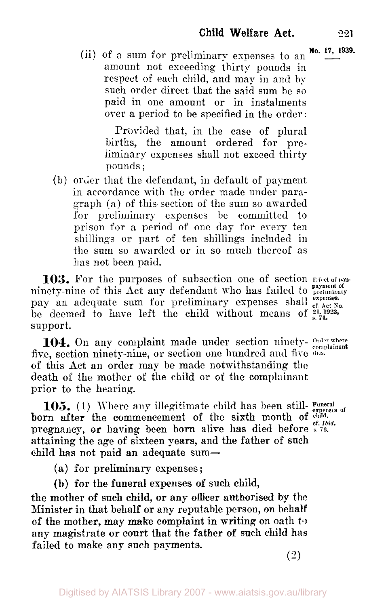(ii) of a sum for preliminary expenses to an  $\frac{N_0}{N_1}$ , 1939. amount not exceeding thirty pounds in respect of each child, and may in and by such order direct that the said sum be so paid in one amount or in instalments over a period to be specified in the order:

Provided that, in the case of plural births, the amount ordered for preliminary expenses shall not exceed thirty pounds ;

(b) order that the defendant, in default of payment in accordance with the order made under paragraph (a) of this section of the sum so awarded for preliminary expenses be committed to prison for a period of one day for every ten shillings or part of ten shillings included in the sum so awarded or in so much thereof as has not been paid.

103. For the purposes of subsection one of section Effect of nonninety-nine of this Act any defendant **who** has failed to **preliminary payment of**  pay an adequate sum for preliminary expenses shall expenses. be deemed to have left the child without means of support.

five, section ninety-nine, or section one hundred and five dies. of this Act an order may be made notwithstanding the death of the mother of the child or of the complainant prior to the hearing. **104.** On any complaint made under section ninety- Order where

born after the commencement of the sixth month of  $_{eff, biid}^{c}$ pregnancy, or having been born alive has died before *s. 76.* attaining the age of sixteen years, and the father of such child has not paid an adequate sum-**Funeral 105.** (1) Where **any** illegitimate **child** has been still- **expenses of** 

**(a)** for preliminary expenses ;

(b) for the funeral expenses **of** such child,

the mother **of** such child, or any **officer** authorised by the Minister in that behalf or any reputable person, on behalf of the mother, may make complaint in writing on oath *to*  **any** magistrate or court that the father of such **child has**  failed to make any such payments.

**expenses.** 

(2)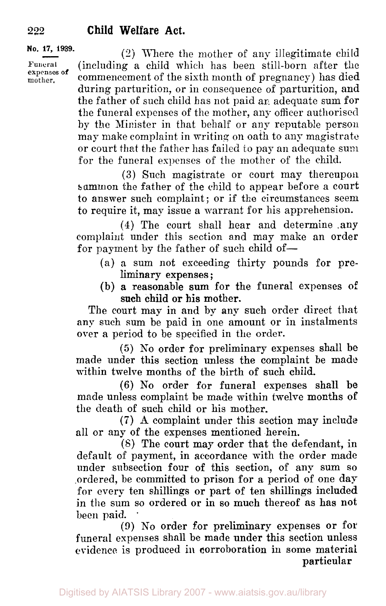#### **No. 17, 1939.**

**Funeral expenses of** 

*(2)* Where the mother of any illegitimate child (including a child which has been still-born after the commencement of the sixth month of pregnancy) has died during parturition, or in consequence of parturition, and the father of such child has not paid an adequate sum for the funeral expenses of the mother, any officer authorised by the Minister in that behalf or any reputable person may make complaint in writing on oath to any magistrate or court that the father has failed to pay an adequate sum for the funeral expenses of the mother of the child.

**(3)** Such magistrate or court may thereupon summon the father of the child to appear before a court to answer such complaint; or if the circumstances seem to require it, map issue a warrant for his apprehension.

**(4)** The court shall hear and determine .any complaint under this section and may make an order for payment by the father of such child of-

- (a) **a** sum not exceeding thirty pounds for pre liminary expenses ;
- (b) a reasonable sum for the funeral expenses of such child or his mother.

The court may in and by any such order direct that any such sum be paid in one amount or in instalments over a period to be specified in the order.

*(5)* No order for preliminary expenses shall be made under this section unless the complaint be made within twelve months of the birth of such child.

(6) No order for funeral expenses shall **be**  made unless complaint be made within twelve months of the death of such child or his mother.

**(7)** A complaint under this section may include all or any of the expenses mentioned herein.

(8) The court may order that the defendant, in default of payment, in accordance with the order made under subsection four of this section, of any sum so ordered, be committed to prison for a period of one day for every ten shillings or part of ten shillings included in the sum so ordered or in so much thereof as has not been paid.

(9) **No** order **for** preliminary expenses or for funeral expenses shall be made under this section unless evidence is produced **in** corroboration in some material particular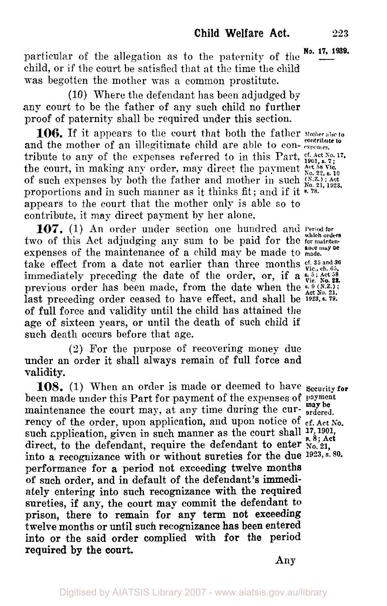**particular of the allegation as to the paternity of the**  $\frac{No. 17, 1939}{\cdots}$ child, or if the court be satisfied that at the time the child was begotten the mother was a common prostitute.

(10) Where the defendant has been adjudged by any court to be the father of any such child no further proof of paternity shall be required under this section.

**106.** If it appears to the court that both the father Mother also to and the mother of an illegitimate child are able to contribute to any of the expenses referred to in this Part, cf. Act No. 17, of such expenses by both the father and mother in such  $\frac{(N,Z)}{N_0}$ ; Act proportions and in such manner as it thinks fit; and if it  $\frac{102}{5}$ appears to the court that the mother only is able so to contribute, it may direct payment by her alone. the court, in making any order, may direct the payment  $\frac{\text{Act}}{\text{No. }22,\text{s. }10}$ 

**107.** (1) An order under section one hundred and **Period for**  two of this Act adjudging any sum to be paid for the **for mainten-which orders**  expenses of the maintenance of a child may be made to made. take effect from a date not earlier than three months **cf.** 35 and 36<br>immediately preceding the date of the order, or, if a **s.** <sup>5;</sup> Act <sup>58</sup> **s. Previous** order has been made, from the date when the **Act No. 21**, *Act No. 21*, *P(N.Z.***);** last preceding order ceased to have effect, and shall be **1923, s. 79.**  of full force and validity until the child has attained the age of sixteen years, or until the death of such child if such death occurs before that age.

**(2)** For the purpose of recovering money due under an order it shall always remain of full force and validity.

been made under this Part for payment of the expenses of **payment**  maintenance the court may, at any time during the cur- **ordered**. rency of the order, upon application, and upon notice of *cf. Act No.* such application, given in such manner as the court shall  $^{17}$ ,  $^{1901}$ ,  $^{17}$ direct, to the defendant, require the defendant to enter  $\hat{\mathbf{w}}$ <sub>0</sub>, 21, into a recognizance with or without sureties for the due **1923, s. 80.**  performance for a period not exceeding twelve months **of** such order, and in default of the defendant's immediately entering into such recognizance with the required sureties, if any, the court may commit the defendant to **prison,** there to remain **for** any term not exceeding twelve months or until such recognizance has been entered into **or** the said order complied with **for** the period required **by** the court. **108.** (1) When an order is made or deemed to have **Security for may he**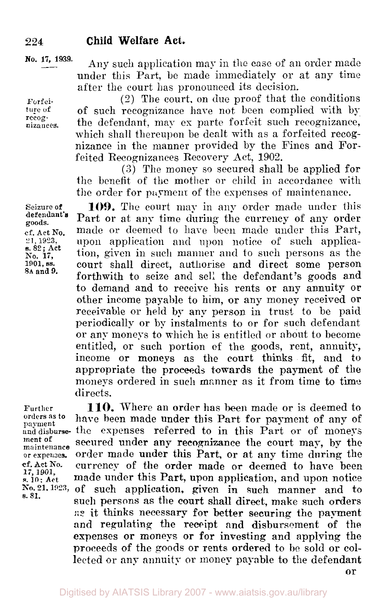**No.** 17, 1939.

Forfeiture of recognizances.

under this Part, be made immediately or at any time after the court has pronounced its decision. (2) The court, on due proof that the conditions of such recognizance hare not been complied with by the defendant, may ex parte forfeit such recognizance,

Any such application may in the case of an order made

which shall thereupon be dealt with as a forfeited recognizance in the manner provided by the Fines and Forfeited Recognizances Recovery Act, 1902.

*(3)* The money so secured shall be applied for the benefit of the mother or child in accordance with the order for payment of the expenses of maintenance.

Seizure of **109.** The court may in any order made under this defendant. Part or at any time during the currency of any order ef. Act No. made or deemed to have been made under this Part,<br>21, 1923, upon application and upon notice of such applicaupon application and upon notice of such applica**s. 82; Act** tion, given in such manner and to such persons as the 1901, ss. court shall direct, authorise and direct some person court shall direct, authorise and direct some person forthwith to seize and sell the defendant's goods and to demand and to receive his rents or any annuity or other income payable to him, or any money received or receivable or held by any person in trust to be paid periodically or by instalments to or for such defendant or any moneys to which he is entitled or about to become entitled, or such portion of the goods, rent, annuity, income or moneys as the court thinks fit, and to appropriate the proceeds towards the payment of the moneys ordered in such manner as it from time to time directs.

**17,** 1901, *s.* **81.** 

Further **110.** Where an order has been made or is deemed to orders as to have been made under this Part for parment of any of orders as to have been made under this Part for payment of any of and disburse- the expenses referred to in this Part or of moneys ment of secured under any recognizance the court may, by the ment of secured under any recognizance the court may, by the or expenses. order made under this Part, or at any time during the order made under this Part, or at any time during the cf. Act No. currency of the order made or deemed to have been <sup>17</sup>, <sup>1901</sup>, and **made under this Part, upon application**, and upon notice No. 21, 1923, of such application, given in such manner and to such application, given in such manner and to such persons as the court shall direct, **make** such orders **as** it thinks necessary for better securing the payment and regulating the receipt and disbursement of the expenses or moneys **or** for investing and applying the proceeds of the goods or rents ordered to **be** sold or collected or any annuity or money **payable** to the defendant

or

goods. **e.** 82; Act No. 17, **8A** and **9.**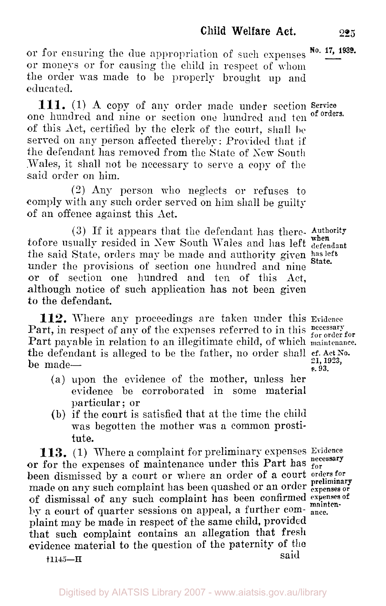or for ensuring the due appropriation of such expenses **No. 17, 1939.** or moneys or for causing the child in respect of whom the order was made to be properly brought **up** and educated.

one hundred and nine or section one hundred and ten of this Act, certified by the clerk of the court, shall be served on any person affected thereby: Provided that if the defendant has removed from the State of New South Wales, it shall not be necessary to serve a copy of the said order on him. **111.** (1) **A** copy of any order made under section **Service** 

*(3)* Any person who neglects or refuses to comply with any such order served on him shall be guilty of an offence against this Act.

(3) If it appears that the defendant has there- authority tofore usually resided in New South Wales and has left when the said State, orders may be made and authority given has left under the provisions of section one hundred and nine or of section one hundred and ten of this Act, although notice of such application has not been given *to* the defendant. State.

**112.** Where any proceedings are taken under this Evidence Part, in respect of any of the expenses referred to in this **necessary** for Part payable in relation to an illegitimate child, of which maintenance. the defendant is alleged to be the father, no order shall  $_{21,1923}^{e}$ ,  $_{21,1923}^{e}$ be made— $\frac{21}{8}$ .93.

- **(a)** upon the evidence of the mother, unless her evidence be corroborated in some material particular ; or
- (b) if the court is satisfied that at the time the child was begotten the mother was **a** common prostitute.

**113.** (1) Where **a** complaint for preliminary expenses Evidence or for the expenses of maintenance under this Part has **for for** been dismissed by a court or where an order of a court **orders for**  made on any such complaint has been quashed or an order **expenses or preliminary of** dismissal of any such complaint has been confirmed expenses of by a court of quarter sessions on appeal, a further com- ance. plaint may be made in respect of the same child, provided that such complaint contains an allegation that fresh evidence material to the question of the paternity of the **f** 1145-H **said** 

**21, 1923,** 

of orders.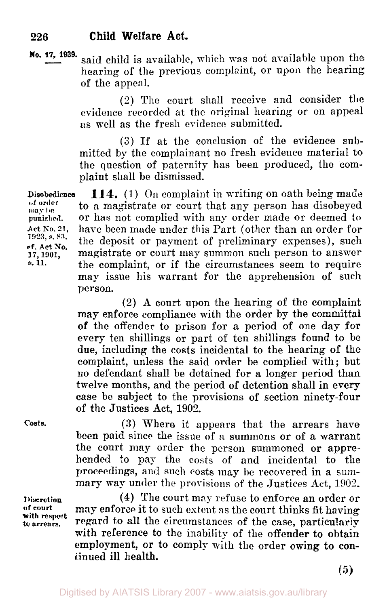**No.** *17,* **1939.** said child is available, which was not available upon the hearing of the previous complaint, or upon the hearing of the appeal.

> (2) The court shall receive and consider the evidence recorded at the original hearing or on appeal as well as the fresh evidence submitted.

> **(3)** If at the conclusion of the evidence submitted by the complainant no fresh evidence material to the question of paternity has been produced, the complaint shall be dismissed.

**of order**  *may* **be punished. Act No. 21, 1923, s.** s::. **cf. Act No. 17, 1901, 114.** (1) On complaint in writing on oath being made to a magistrate or court that any person has disobeyed Disobedience or has not complied with any order made or deemed *to*  have been made under this Part (other than an order for the deposit or payment of preliminary expenses), such magistrate or court may summon such person to answer the complaint, or if the circumstances seem to require may issue his warrant for the apprehension of such person.

> **(2) A** court upon the hearing of the complaint may enforce compliance with the order by the committal of the offender to prison for **a** period of one day for every ten shillings or part of ten shillings found to be due, including the costs incidental to the hearing of the complaint, unless the said order be complied with; but no defendant shall be detained for **a** longer period than twelve months, and the period of detention shall in **every**  case be subject to the provisions of section ninety-four **of** the Justices Act, 1902.

**Costs.** 

s.11.

**Discretion cif court with respect**  *to* **arrears.** 

**(3)** Where it appears that the arrears have been paid since the issue of *a* summons or of **a** warrant the court may order the person summoned or apprehended to pay the costs of and incidental to the proceedings, and such costs may he recovered in a summary **way** under the provisions of the Justices Act, 1902,

**(4)** The court may refuse to enforce an order or may enforce it to such extent as the court thinks fit having regard to all the circumstances of the case, particularly with reference to the inability of the offender to obtain employment, or to comply with the order owing to **con**tinued ill health.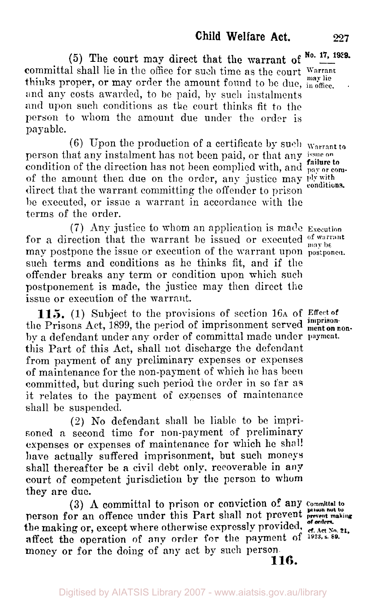(5) The court may direct that the warrant of  $\frac{N_0}{N_1}$  17, 1939. committal shall lie in the office for such time as the court Warrant thinks proper, or may order the amount found to be due,  $\lim_{n \to \infty}$ and any costs awarded, to be paid, by such instalments **and** upon such conditions as the court thinks fit to the person to whom the amount due under the order is payable.

(6) Upon the production of a certificate by such warrant *to*  person that any instalment has not been paid, or that any **issue on**  condition of the direction has not been complied with, and **pay** or **com-failure** to of the amount then due on the order, any justice may ply with direct that the warrant committing the offender to prison conditions. be executed, or issue a warrant in accordance with the terms of the order.

*(7)* Any justice to whom an application is made **Execution**  for a direction that the warrant be issued or executed of warrant may postpone the issue or execution of the warrant upon **postponed**. such terms and conditions as he thinks fit, and if the offender breaks any term or condition upon which such postponement is made, the justice may then direct the issue or execution of the warrant.

**115.** (1) Subject to the provisions of section 16A of Effect of the Prisons Act, 1899, the period of imprisonment served menton by a defendant under any order of committal made under **payment.**  this Part of this Act, shall not discharge the defendant from payment of any preliminary expenses or expenses of maintenance for the non-payment of which he has been committed, but during such period the order in so far as it relates to the payment of expenses of maintenance shall be suspended.

(2) No defendant shall be liable to be imprisoned a. second time for non-payment of preliminary expenses or expenses of maintenancc for which he shall have actually suffered imprisonment, but such moneys shall thereafter be **a** civil debt only. recoverable in **any**  court of competent jurisdiction by the person to **whom**  they are due.

person for an offence under this Part shall not prevent **prevent making**  the making or, except where otherwise expressly provided.  $\frac{d}{dt}$ ,  $\frac{d}{dt}$ ,  $\frac{d}{dt}$ ,  $\frac{d}{dt}$ ,  $\frac{d}{dt}$ ,  $\frac{d}{dt}$ affect the operation of any order for the payment of **1923, s. 89.**  money or for the doing of any act by such person- **(3) A** committal to prison or conviction of **any Committal to prison nut to 116.** 

**on non-**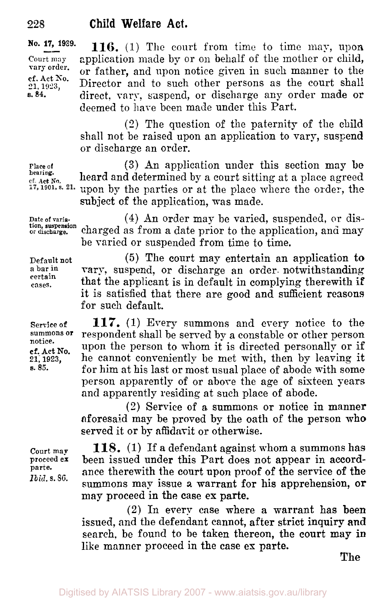**No. 1939.**  Court may 21, 1923, **s. 84.**  vary order. **cf. Act** *So.* 

**116. (1)** The court from time to time may, upon application made by or on behalf of the mother or child, or father, and upon notice given in such manner to the Director and to such other persons as the court shall direct, vary, suspend, or discharge any order made or deemed to have been made under this Part.

**(2)** The question of the paternity of the child shall not be raised upon an application to vary, suspend or discharge an order.

**(3)** An application under this section may be heard and determined by a court sitting at a place agreed upon by the parties or at the place where the order, the **1901, s.**  subject of the application, was made.

**Date of varia**or **discharge.**  tion, **suspension** 

**Place of hearing.**  ef. Act No.

**Default** not **a bar in certain cases.** 

**Service** of **summons or notice. cf. Act No. 21; 1923,** *s. 85.* 

**Court map proceed ex parte.**  *Ibid.* **s.** 86.

**(4)** An order may be varied, suspended, or discharged as from a date prior to the application, and may be varied or suspended from time to time.

**(5)** The court may entertain an application to vary, suspend, or discharge an order. notwithstanding that the applicant is in default in complying therewith **if**  it is satisfied that there are good and sufficient reasons for such default.

**117.** (1) Every summons and every notice to the respondent shall be served by a constable or other person upon the person to whom it is directed personally or if he cannot conveniently be met with, then by leaving it for him at his last or most usual place of abode with some person apparently of or above the age of sixteen years and apparently residing at such place of abode.

**(2)** Service of a summons or notice in manner aforesaid may be proved by the oath of the person who served it or by affidavit or otherwise.

**118.** (1) If a defendant against whom a summons has been issued under this Part does not appear in accordance therewith the court upon proof of the service of the summons may issue **a** warrant for his apprehension, or may proceed in the case **ex** parte.

**(2)** In every case where a warrant has been issued, and the defendant cannot, after strict inquiry **and**  search, be found to be taken thereon, the court **may in**  like manner proceed in the case **ex** parte.

The